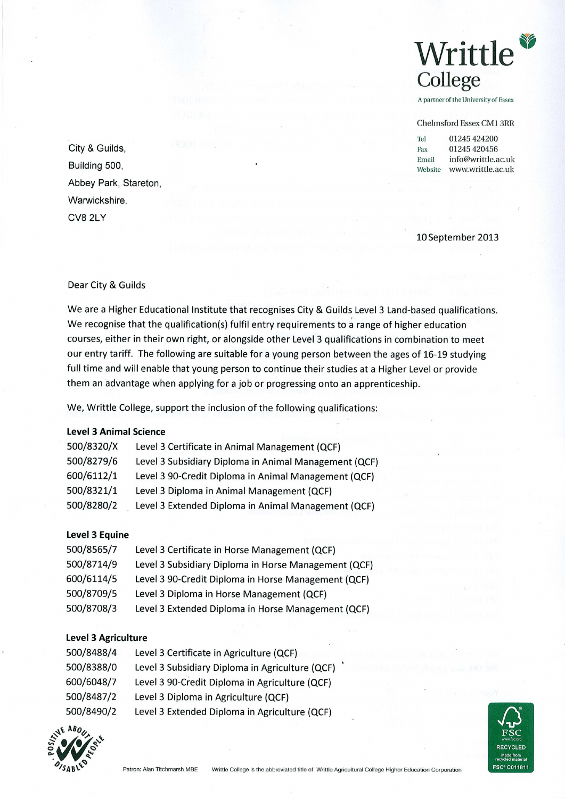

A partner of the University of Essex

#### Chelmsford Essex CM1 3RR

Tel 01245 424200 **City & Guilds,** Fax 01245 420456 Email info@writtle.ac.uk Building 500, **Building 500, and the contract of the contract of the contract of the contract of the contract of the contract of the contract of the contract of the contract of the contract of the contract of the contract** 

10September 2013

## Dear City & Guilds

Abbey Park, Stareton,

Warwickshire.

CV8 2LY

We are a Higher Educational Institute that recognises City & Guilds Level 3 Land-based qualifications. We recognise that the qualification(s) fulfil entry requirements to a range of higher education courses, either in their own right, or alongside other Level 3 qualifications in combination to meet our entry tariff. The following are suitable for a young person between the ages of 16-19 studying full time and will enable that young person to continue their studies at a Higher Level or provide them an advantage when applying for a job or progressing onto an apprenticeship.

We, Writtle College, support the inclusion of the following qualifications:

# **Level 3 Animal Science**

| 500/8320/X | Level 3 Certificate in Animal Management (QCF)        |
|------------|-------------------------------------------------------|
| 500/8279/6 | Level 3 Subsidiary Diploma in Animal Management (QCF) |
| 600/6112/1 | Level 3 90-Credit Diploma in Animal Management (QCF)  |
| 500/8321/1 | Level 3 Diploma in Animal Management (QCF)            |
| 500/8280/2 | Level 3 Extended Diploma in Animal Management (QCF)   |

#### **Level 3 Equine**

| 500/8565/7 | Level 3 Certificate in Horse Management (QCF)        |
|------------|------------------------------------------------------|
| 500/8714/9 | Level 3 Subsidiary Diploma in Horse Management (QCF) |
| 600/6114/5 | Level 3 90-Credit Diploma in Horse Management (QCF)  |
| 500/8709/5 | Level 3 Diploma in Horse Management (QCF)            |
| 500/8708/3 | Level 3 Extended Diploma in Horse Management (QCF)   |

# **Level 3 Agriculture**

| 500/8488/4 | Level 3 Certificate in Agriculture (QCF)        |
|------------|-------------------------------------------------|
| 500/8388/0 | Level 3 Subsidiary Diploma in Agriculture (QCF) |
| 600/6048/7 | Level 3 90-Credit Diploma in Agriculture (QCF)  |
| 500/8487/2 | Level 3 Diploma in Agriculture (QCF)            |
| 500/8490/2 | Level 3 Extended Diploma in Agriculture (QCF)   |